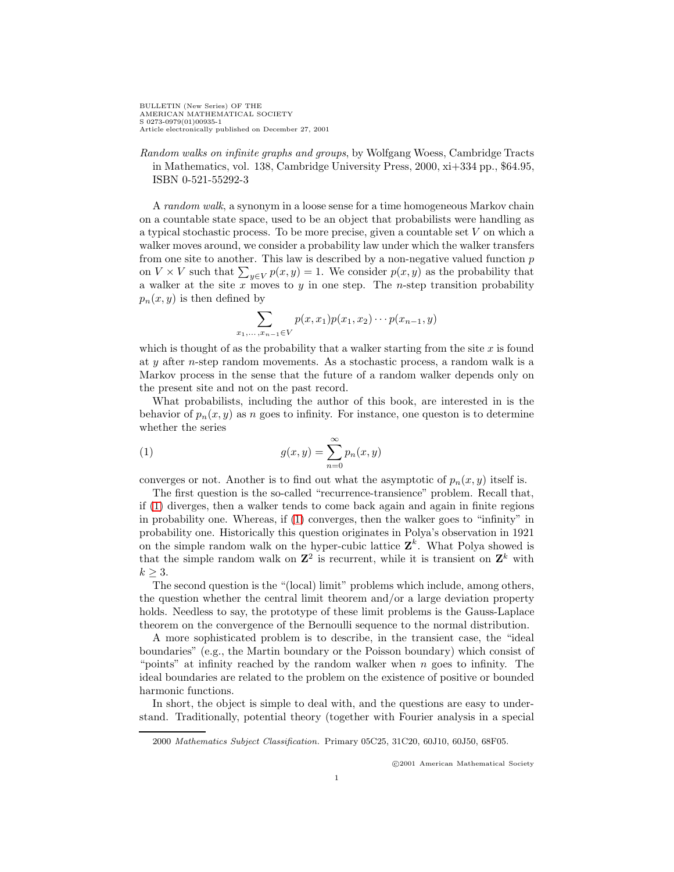BULLETIN (New Series) OF THE AMERICAN MATHEMATICAL SOCIETY S 0273-0979(01)00935-1 Article electronically published on December 27, 2001

Random walks on infinite graphs and groups, by Wolfgang Woess, Cambridge Tracts in Mathematics, vol. 138, Cambridge University Press, 2000, xi+334 pp., \$64.95, ISBN 0-521-55292-3

A random walk, a synonym in a loose sense for a time homogeneous Markov chain on a countable state space, used to be an object that probabilists were handling as a typical stochastic process. To be more precise, given a countable set V on which a walker moves around, we consider a probability law under which the walker transfers from one site to another. This law is described by a non-negative valued function  $p$ on  $V \times V$  such that  $\sum_{y \in V} p(x, y) = 1$ . We consider  $p(x, y)$  as the probability that a walker at the site  $x$  moves to  $y$  in one step. The *n*-step transition probability  $p_n(x, y)$  is then defined by

$$
\sum_{x_1, ..., x_{n-1} \in V} p(x, x_1) p(x_1, x_2) \cdots p(x_{n-1}, y)
$$

which is thought of as the probability that a walker starting from the site  $x$  is found at y after n-step random movements. As a stochastic process, a random walk is a Markov process in the sense that the future of a random walker depends only on the present site and not on the past record.

What probabilists, including the author of this book, are interested in is the behavior of  $p_n(x, y)$  as n goes to infinity. For instance, one queston is to determine whether the series

<span id="page-0-0"></span>(1) 
$$
g(x,y) = \sum_{n=0}^{\infty} p_n(x,y)
$$

converges or not. Another is to find out what the asymptotic of  $p_n(x, y)$  itself is.

The first question is the so-called "recurrence-transience" problem. Recall that, if [\(1\)](#page-0-0) diverges, then a walker tends to come back again and again in finite regions in probability one. Whereas, if [\(1\)](#page-0-0) converges, then the walker goes to "infinity" in probability one. Historically this question originates in Polya's observation in 1921 on the simple random walk on the hyper-cubic lattice  $\mathbf{Z}^k$ . What Polya showed is that the simple random walk on  $\mathbb{Z}^2$  is recurrent, while it is transient on  $\mathbb{Z}^k$  with  $k \geq 3$ .

The second question is the "(local) limit" problems which include, among others, the question whether the central limit theorem and/or a large deviation property holds. Needless to say, the prototype of these limit problems is the Gauss-Laplace theorem on the convergence of the Bernoulli sequence to the normal distribution.

A more sophisticated problem is to describe, in the transient case, the "ideal boundaries" (e.g., the Martin boundary or the Poisson boundary) which consist of "points" at infinity reached by the random walker when  $n$  goes to infinity. The ideal boundaries are related to the problem on the existence of positive or bounded harmonic functions.

In short, the object is simple to deal with, and the questions are easy to understand. Traditionally, potential theory (together with Fourier analysis in a special

c 2001 American Mathematical Society

<sup>2000</sup> Mathematics Subject Classification. Primary 05C25, 31C20, 60J10, 60J50, 68F05.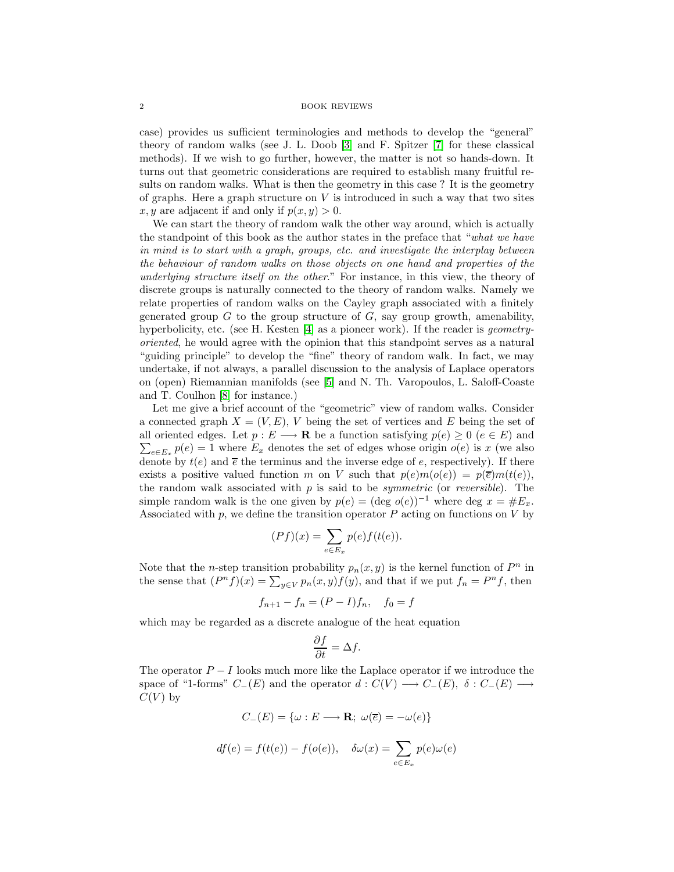## 2 BOOK REVIEWS

case) provides us sufficient terminologies and methods to develop the "general" theory of random walks (see J. L. Doob [\[3\]](#page-3-0) and F. Spitzer [\[7\]](#page-4-0) for these classical methods). If we wish to go further, however, the matter is not so hands-down. It turns out that geometric considerations are required to establish many fruitful results on random walks. What is then the geometry in this case ? It is the geometry of graphs. Here a graph structure on  $V$  is introduced in such a way that two sites x, y are adjacent if and only if  $p(x, y) > 0$ .

We can start the theory of random walk the other way around, which is actually the standpoint of this book as the author states in the preface that "what we have in mind is to start with a graph, groups, etc. and investigate the interplay between the behaviour of random walks on those objects on one hand and properties of the underlying structure itself on the other." For instance, in this view, the theory of discrete groups is naturally connected to the theory of random walks. Namely we relate properties of random walks on the Cayley graph associated with a finitely generated group  $G$  to the group structure of  $G$ , say group growth, amenability, hyperbolicity, etc. (see H. Kesten [\[4\]](#page-3-1) as a pioneer work). If the reader is *geometry*oriented, he would agree with the opinion that this standpoint serves as a natural "guiding principle" to develop the "fine" theory of random walk. In fact, we may undertake, if not always, a parallel discussion to the analysis of Laplace operators on (open) Riemannian manifolds (see [\[5\]](#page-3-2) and N. Th. Varopoulos, L. Saloff-Coaste and T. Coulhon [\[8\]](#page-4-1) for instance.)

Let me give a brief account of the "geometric" view of random walks. Consider a connected graph  $X = (V, E)$ , V being the set of vertices and E being the set of all oriented edges. Let  $p: E \longrightarrow \mathbf{R}$  be a function satisfying  $p(e) \geq 0$  ( $e \in E$ ) and  $\sum_{e \in E_x} p(e) = 1$  where  $E_x$  denotes the set of edges whose origin  $o(e)$  is x (we also denote by  $t(e)$  and  $\overline{e}$  the terminus and the inverse edge of e, respectively). If there exists a positive valued function m on V such that  $p(e)m(o(e)) = p(\overline{e})m(t(e)),$ the random walk associated with  $p$  is said to be *symmetric* (or *reversible*). The simple random walk is the one given by  $p(e) = (\text{deg } o(e))^{-1}$  where deg  $x = \#E_x$ . Associated with  $p$ , we define the transition operator  $P$  acting on functions on  $V$  by

$$
(Pf)(x) = \sum_{e \in E_x} p(e)f(t(e)).
$$

Note that the *n*-step transition probability  $p_n(x, y)$  is the kernel function of  $P^n$  in the sense that  $(P^n f)(x) = \sum_{y \in V} p_n(x, y) f(y)$ , and that if we put  $f_n = P^n f$ , then

$$
f_{n+1} - f_n = (P - I)f_n, \quad f_0 = f
$$

which may be regarded as a discrete analogue of the heat equation

$$
\frac{\partial f}{\partial t} = \Delta f.
$$

The operator  $P-I$  looks much more like the Laplace operator if we introduce the space of "1-forms"  $C_{-}(E)$  and the operator  $d: C(V) \longrightarrow C_{-}(E), \delta: C_{-}(E)$  $C(V)$  by

$$
C_{-}(E) = \{\omega : E \longrightarrow \mathbf{R}; \ \omega(\overline{e}) = -\omega(e)\}
$$

$$
df(e) = f(t(e)) - f(o(e)), \quad \delta\omega(x) = \sum_{e \in E_x} p(e)\omega(e)
$$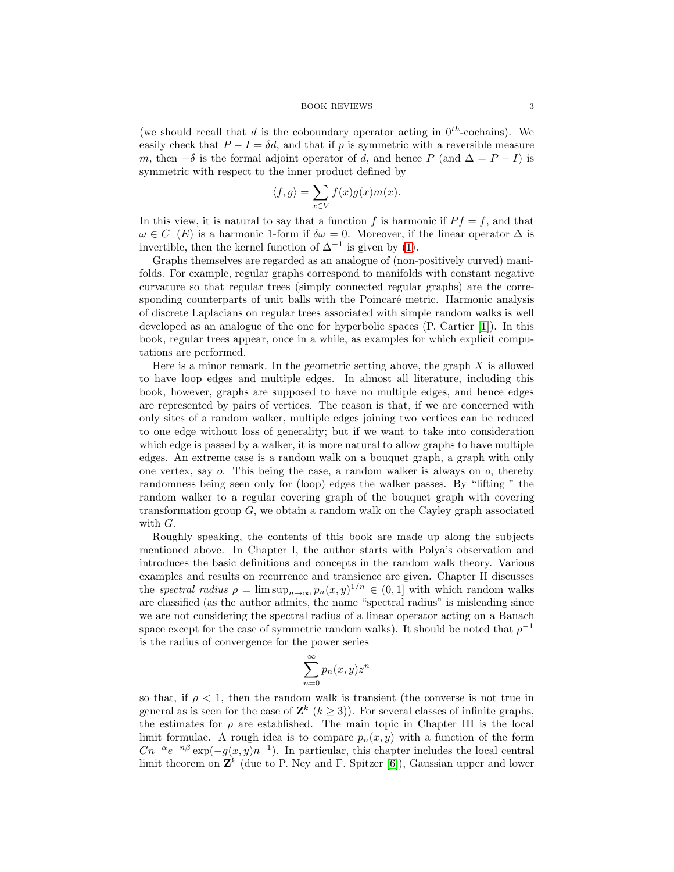(we should recall that d is the coboundary operator acting in  $0^{th}$ -cochains). We easily check that  $P - I = \delta d$ , and that if p is symmetric with a reversible measure m, then  $-\delta$  is the formal adjoint operator of d, and hence P (and  $\Delta = P - I$ ) is symmetric with respect to the inner product defined by

$$
\langle f, g \rangle = \sum_{x \in V} f(x)g(x)m(x).
$$

In this view, it is natural to say that a function f is harmonic if  $Pf = f$ , and that  $\omega \in C_{-}(E)$  is a harmonic 1-form if  $\delta \omega = 0$ . Moreover, if the linear operator  $\Delta$  is invertible, then the kernel function of  $\Delta^{-1}$  is given by [\(1\)](#page-0-0).

Graphs themselves are regarded as an analogue of (non-positively curved) manifolds. For example, regular graphs correspond to manifolds with constant negative curvature so that regular trees (simply connected regular graphs) are the corresponding counterparts of unit balls with the Poincaré metric. Harmonic analysis of discrete Laplacians on regular trees associated with simple random walks is well developed as an analogue of the one for hyperbolic spaces (P. Cartier [\[1\]](#page-3-3)). In this book, regular trees appear, once in a while, as examples for which explicit computations are performed.

Here is a minor remark. In the geometric setting above, the graph  $X$  is allowed to have loop edges and multiple edges. In almost all literature, including this book, however, graphs are supposed to have no multiple edges, and hence edges are represented by pairs of vertices. The reason is that, if we are concerned with only sites of a random walker, multiple edges joining two vertices can be reduced to one edge without loss of generality; but if we want to take into consideration which edge is passed by a walker, it is more natural to allow graphs to have multiple edges. An extreme case is a random walk on a bouquet graph, a graph with only one vertex, say o. This being the case, a random walker is always on o, thereby randomness being seen only for (loop) edges the walker passes. By "lifting " the random walker to a regular covering graph of the bouquet graph with covering transformation group  $G$ , we obtain a random walk on the Cayley graph associated with G.

Roughly speaking, the contents of this book are made up along the subjects mentioned above. In Chapter I, the author starts with Polya's observation and introduces the basic definitions and concepts in the random walk theory. Various examples and results on recurrence and transience are given. Chapter II discusses the spectral radius  $\rho = \limsup_{n \to \infty} p_n(x, y)^{1/n} \in (0, 1]$  with which random walks are classified (as the author admits, the name "spectral radius" is misleading since we are not considering the spectral radius of a linear operator acting on a Banach space except for the case of symmetric random walks). It should be noted that  $\rho^{-1}$ is the radius of convergence for the power series

$$
\sum_{n=0}^{\infty} p_n(x, y) z^n
$$

so that, if  $\rho < 1$ , then the random walk is transient (the converse is not true in general as is seen for the case of  $\mathbf{Z}^k$  ( $k \geq 3$ )). For several classes of infinite graphs, the estimates for  $\rho$  are established. The main topic in Chapter III is the local limit formulae. A rough idea is to compare  $p_n(x, y)$  with a function of the form  $Cn^{-\alpha}e^{-n\beta}$  exp( $-g(x, y)n^{-1}$ ). In particular, this chapter includes the local central limit theorem on  $\mathbf{Z}^k$  (due to P. Ney and F. Spitzer [\[6\]](#page-4-2)), Gaussian upper and lower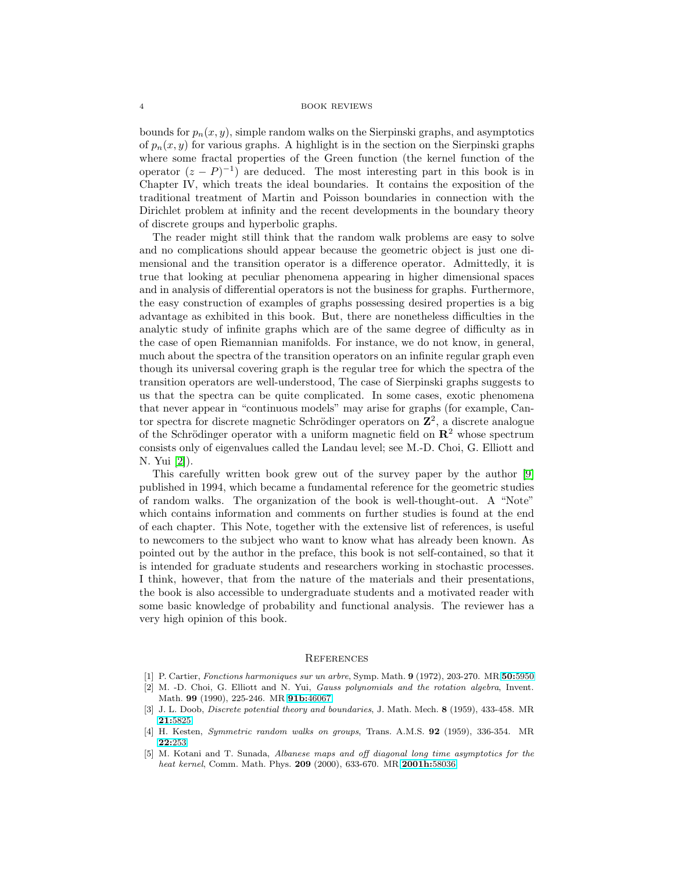## 4 BOOK REVIEWS

bounds for  $p_n(x, y)$ , simple random walks on the Sierpinski graphs, and asymptotics of  $p_n(x, y)$  for various graphs. A highlight is in the section on the Sierpinski graphs where some fractal properties of the Green function (the kernel function of the operator  $(z - P)^{-1}$  are deduced. The most interesting part in this book is in Chapter IV, which treats the ideal boundaries. It contains the exposition of the traditional treatment of Martin and Poisson boundaries in connection with the Dirichlet problem at infinity and the recent developments in the boundary theory of discrete groups and hyperbolic graphs.

The reader might still think that the random walk problems are easy to solve and no complications should appear because the geometric object is just one dimensional and the transition operator is a difference operator. Admittedly, it is true that looking at peculiar phenomena appearing in higher dimensional spaces and in analysis of differential operators is not the business for graphs. Furthermore, the easy construction of examples of graphs possessing desired properties is a big advantage as exhibited in this book. But, there are nonetheless difficulties in the analytic study of infinite graphs which are of the same degree of difficulty as in the case of open Riemannian manifolds. For instance, we do not know, in general, much about the spectra of the transition operators on an infinite regular graph even though its universal covering graph is the regular tree for which the spectra of the transition operators are well-understood, The case of Sierpinski graphs suggests to us that the spectra can be quite complicated. In some cases, exotic phenomena that never appear in "continuous models" may arise for graphs (for example, Cantor spectra for discrete magnetic Schrödinger operators on  $\mathbb{Z}^2$ , a discrete analogue of the Schrödinger operator with a uniform magnetic field on  $\mathbb{R}^2$  whose spectrum consists only of eigenvalues called the Landau level; see M.-D. Choi, G. Elliott and N. Yui [\[2\]](#page-3-4)).

This carefully written book grew out of the survey paper by the author [\[9\]](#page-4-3) published in 1994, which became a fundamental reference for the geometric studies of random walks. The organization of the book is well-thought-out. A "Note" which contains information and comments on further studies is found at the end of each chapter. This Note, together with the extensive list of references, is useful to newcomers to the subject who want to know what has already been known. As pointed out by the author in the preface, this book is not self-contained, so that it is intended for graduate students and researchers working in stochastic processes. I think, however, that from the nature of the materials and their presentations, the book is also accessible to undergraduate students and a motivated reader with some basic knowledge of probability and functional analysis. The reviewer has a very high opinion of this book.

## **REFERENCES**

- <span id="page-3-3"></span>[1] P. Cartier, Fonctions harmoniques sur un arbre, Symp. Math. **9** (1972), 203-270. MR **50:**[5950](http://www.ams.org/mathscinet-getitem?mr=50:5950)
- <span id="page-3-4"></span>[2] M. -D. Choi, G. Elliott and N. Yui, Gauss polynomials and the rotation algebra, Invent. Math. **99** (1990), 225-246. MR **91b:**[46067](http://www.ams.org/mathscinet-getitem?mr=91b:46067)
- <span id="page-3-0"></span>[3] J. L. Doob, Discrete potential theory and boundaries, J. Math. Mech. **8** (1959), 433-458. MR **21:**[5825](http://www.ams.org/mathscinet-getitem?mr=21:5825)
- <span id="page-3-1"></span>[4] H. Kesten, Symmetric random walks on groups, Trans. A.M.S. **92** (1959), 336-354. MR **22:**[253](http://www.ams.org/mathscinet-getitem?mr=22:253)
- <span id="page-3-2"></span>[5] M. Kotani and T. Sunada, Albanese maps and off diagonal long time asymptotics for the heat kernel, Comm. Math. Phys. **209** (2000), 633-670. MR **[2001h:](http://www.ams.org/mathscinet-getitem?mr=2001h:58036)**58036